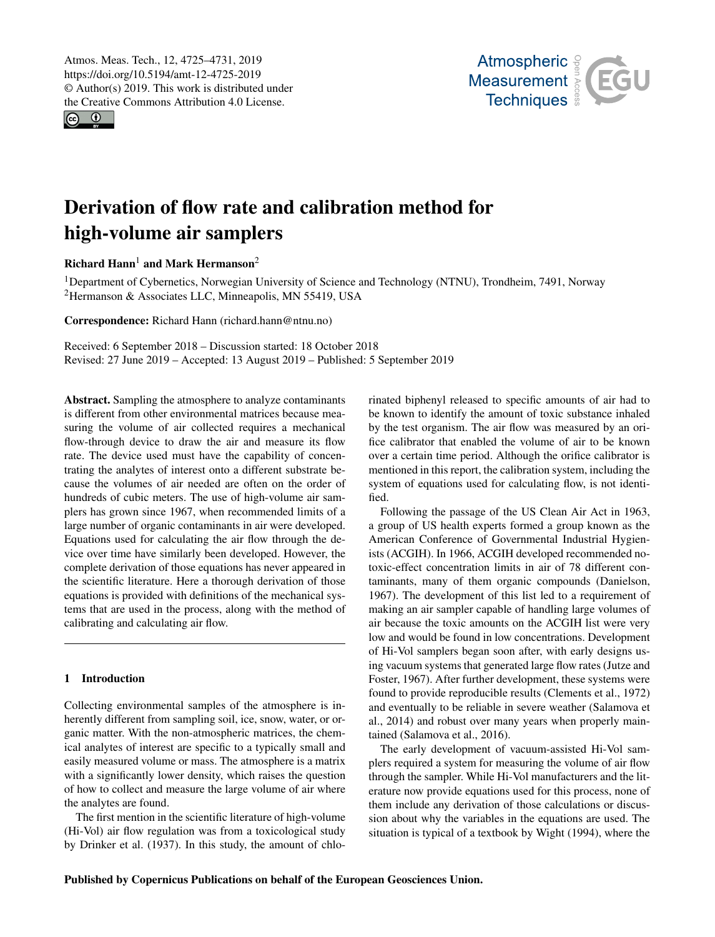<span id="page-0-1"></span>Atmos. Meas. Tech., 12, 4725–4731, 2019 https://doi.org/10.5194/amt-12-4725-2019 © Author(s) 2019. This work is distributed under the Creative Commons Attribution 4.0 License.

 $\circ$   $\circ$ 



# Derivation of flow rate and calibration method for high-volume air samplers

Richard Hann<sup>[1](#page-0-0)</sup> and Mark Hermanson<sup>[2](#page-0-0)</sup>

<sup>1</sup>Department of Cybernetics, Norwegian University of Science and Technology (NTNU), Trondheim, 7491, Norway <sup>2</sup>Hermanson & Associates LLC, Minneapolis, MN 55419, USA

Correspondence: Richard Hann (richard.hann@ntnu.no)

Received: 6 September 2018 – Discussion started: 18 October 2018 Revised: 27 June 2019 – Accepted: 13 August 2019 – Published: 5 September 2019

<span id="page-0-0"></span>Abstract. Sampling the atmosphere to analyze contaminants is different from other environmental matrices because measuring the volume of air collected requires a mechanical flow-through device to draw the air and measure its flow rate. The device used must have the capability of concentrating the analytes of interest onto a different substrate because the volumes of air needed are often on the order of hundreds of cubic meters. The use of high-volume air samplers has grown since 1967, when recommended limits of a large number of organic contaminants in air were developed. Equations used for calculating the air flow through the device over time have similarly been developed. However, the complete derivation of those equations has never appeared in the scientific literature. Here a thorough derivation of those equations is provided with definitions of the mechanical systems that are used in the process, along with the method of calibrating and calculating air flow.

### 1 Introduction

Collecting environmental samples of the atmosphere is inherently different from sampling soil, ice, snow, water, or organic matter. With the non-atmospheric matrices, the chemical analytes of interest are specific to a typically small and easily measured volume or mass. The atmosphere is a matrix with a significantly lower density, which raises the question of how to collect and measure the large volume of air where the analytes are found.

The first mention in the scientific literature of high-volume (Hi-Vol) air flow regulation was from a toxicological study by Drinker et al. (1937). In this study, the amount of chlorinated biphenyl released to specific amounts of air had to be known to identify the amount of toxic substance inhaled by the test organism. The air flow was measured by an orifice calibrator that enabled the volume of air to be known over a certain time period. Although the orifice calibrator is mentioned in this report, the calibration system, including the system of equations used for calculating flow, is not identified.

Following the passage of the US Clean Air Act in 1963, a group of US health experts formed a group known as the American Conference of Governmental Industrial Hygienists (ACGIH). In 1966, ACGIH developed recommended notoxic-effect concentration limits in air of 78 different contaminants, many of them organic compounds (Danielson, 1967). The development of this list led to a requirement of making an air sampler capable of handling large volumes of air because the toxic amounts on the ACGIH list were very low and would be found in low concentrations. Development of Hi-Vol samplers began soon after, with early designs using vacuum systems that generated large flow rates (Jutze and Foster, 1967). After further development, these systems were found to provide reproducible results (Clements et al., 1972) and eventually to be reliable in severe weather (Salamova et al., 2014) and robust over many years when properly maintained (Salamova et al., 2016).

The early development of vacuum-assisted Hi-Vol samplers required a system for measuring the volume of air flow through the sampler. While Hi-Vol manufacturers and the literature now provide equations used for this process, none of them include any derivation of those calculations or discussion about why the variables in the equations are used. The situation is typical of a textbook by Wight (1994), where the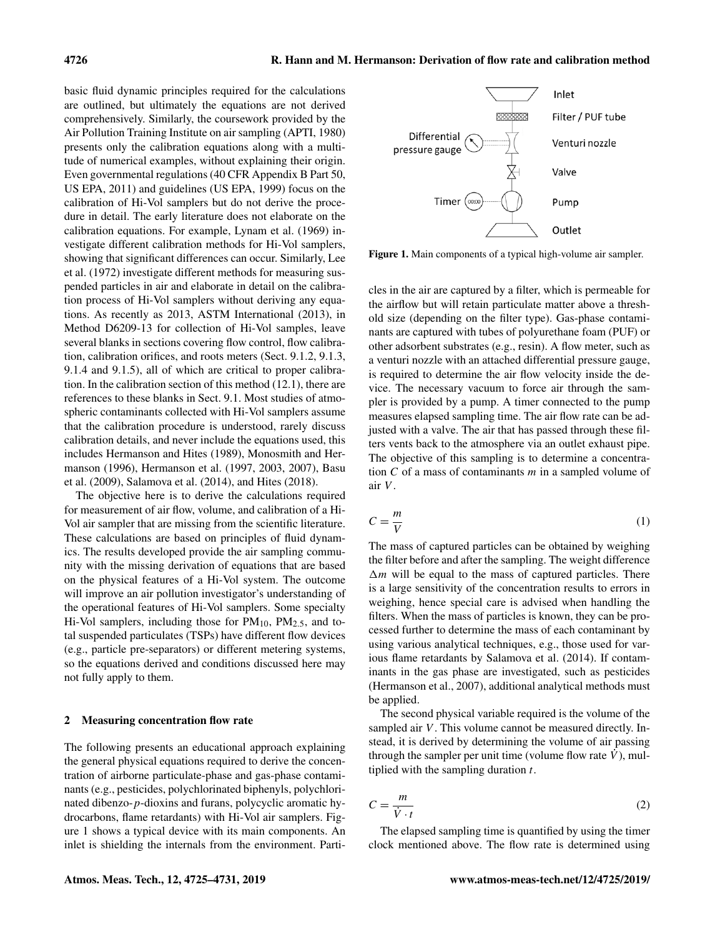basic fluid dynamic principles required for the calculations are outlined, but ultimately the equations are not derived comprehensively. Similarly, the coursework provided by the Air Pollution Training Institute on air sampling (APTI, 1980) presents only the calibration equations along with a multitude of numerical examples, without explaining their origin. Even governmental regulations (40 CFR Appendix B Part 50, US EPA, 2011) and guidelines (US EPA, 1999) focus on the calibration of Hi-Vol samplers but do not derive the procedure in detail. The early literature does not elaborate on the calibration equations. For example, Lynam et al. (1969) investigate different calibration methods for Hi-Vol samplers, showing that significant differences can occur. Similarly, Lee et al. (1972) investigate different methods for measuring suspended particles in air and elaborate in detail on the calibration process of Hi-Vol samplers without deriving any equations. As recently as 2013, ASTM International (2013), in Method D6209-13 for collection of Hi-Vol samples, leave several blanks in sections covering flow control, flow calibration, calibration orifices, and roots meters (Sect. 9.1.2, 9.1.3, 9.1.4 and 9.1.5), all of which are critical to proper calibration. In the calibration section of this method (12.1), there are references to these blanks in Sect. 9.1. Most studies of atmospheric contaminants collected with Hi-Vol samplers assume that the calibration procedure is understood, rarely discuss calibration details, and never include the equations used, this includes Hermanson and Hites (1989), Monosmith and Hermanson (1996), Hermanson et al. (1997, 2003, 2007), Basu et al. (2009), Salamova et al. (2014), and Hites (2018).

The objective here is to derive the calculations required for measurement of air flow, volume, and calibration of a Hi-Vol air sampler that are missing from the scientific literature. These calculations are based on principles of fluid dynamics. The results developed provide the air sampling community with the missing derivation of equations that are based on the physical features of a Hi-Vol system. The outcome will improve an air pollution investigator's understanding of the operational features of Hi-Vol samplers. Some specialty Hi-Vol samplers, including those for  $PM_{10}$ ,  $PM_{2.5}$ , and total suspended particulates (TSPs) have different flow devices (e.g., particle pre-separators) or different metering systems, so the equations derived and conditions discussed here may not fully apply to them.

#### 2 Measuring concentration flow rate

The following presents an educational approach explaining the general physical equations required to derive the concentration of airborne particulate-phase and gas-phase contaminants (e.g., pesticides, polychlorinated biphenyls, polychlorinated dibenzo-p-dioxins and furans, polycyclic aromatic hydrocarbons, flame retardants) with Hi-Vol air samplers. Figure 1 shows a typical device with its main components. An inlet is shielding the internals from the environment. Parti-

Inlet Differential Venturi nozzle pressure gauge Valve Timer (00:00 Pump Outlet

Figure 1. Main components of a typical high-volume air sampler.

cles in the air are captured by a filter, which is permeable for the airflow but will retain particulate matter above a threshold size (depending on the filter type). Gas-phase contaminants are captured with tubes of polyurethane foam (PUF) or other adsorbent substrates (e.g., resin). A flow meter, such as a venturi nozzle with an attached differential pressure gauge, is required to determine the air flow velocity inside the device. The necessary vacuum to force air through the sampler is provided by a pump. A timer connected to the pump measures elapsed sampling time. The air flow rate can be adjusted with a valve. The air that has passed through these filters vents back to the atmosphere via an outlet exhaust pipe. The objective of this sampling is to determine a concentration  $C$  of a mass of contaminants  $m$  in a sampled volume of air V .

$$
C = \frac{m}{V} \tag{1}
$$

The mass of captured particles can be obtained by weighing the filter before and after the sampling. The weight difference  $\Delta m$  will be equal to the mass of captured particles. There is a large sensitivity of the concentration results to errors in weighing, hence special care is advised when handling the filters. When the mass of particles is known, they can be processed further to determine the mass of each contaminant by using various analytical techniques, e.g., those used for various flame retardants by Salamova et al. (2014). If contaminants in the gas phase are investigated, such as pesticides (Hermanson et al., 2007), additional analytical methods must be applied.

The second physical variable required is the volume of the sampled air V. This volume cannot be measured directly. Instead, it is derived by determining the volume of air passing through the sampler per unit time (volume flow rate  $V$ ), multiplied with the sampling duration  $t$ .

$$
C = \frac{m}{\dot{V} \cdot t} \tag{2}
$$

The elapsed sampling time is quantified by using the timer clock mentioned above. The flow rate is determined using

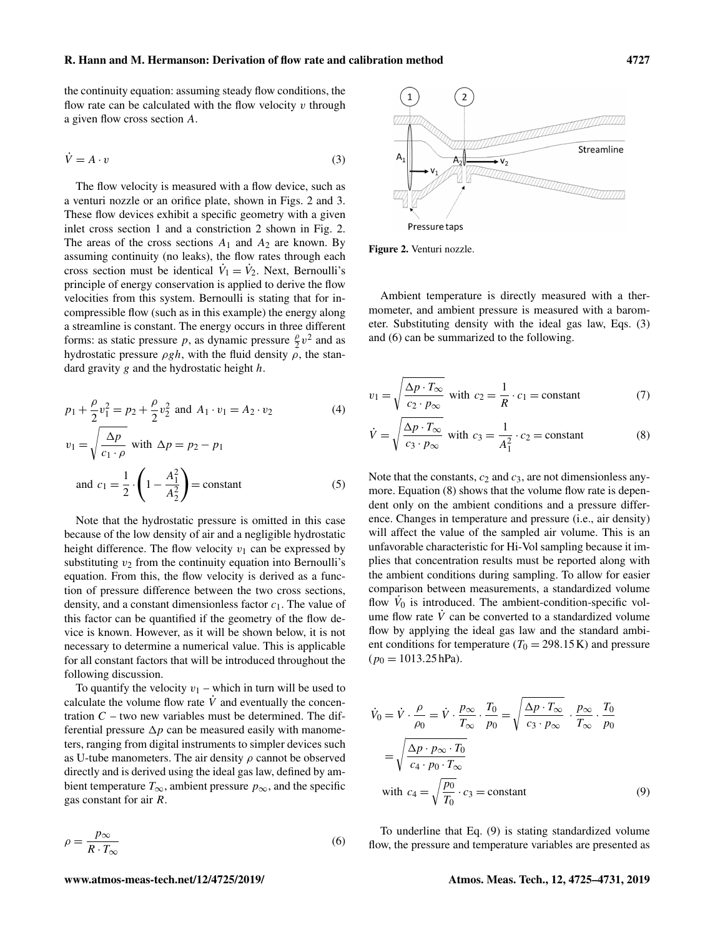the continuity equation: assuming steady flow conditions, the flow rate can be calculated with the flow velocity  $v$  through a given flow cross section A.

$$
\dot{V} = A \cdot v \tag{3}
$$

The flow velocity is measured with a flow device, such as a venturi nozzle or an orifice plate, shown in Figs. 2 and 3. These flow devices exhibit a specific geometry with a given inlet cross section 1 and a constriction 2 shown in Fig. 2. The areas of the cross sections  $A_1$  and  $A_2$  are known. By assuming continuity (no leaks), the flow rates through each cross section must be identical  $\dot{V}_1 = \dot{V}_2$ . Next, Bernoulli's principle of energy conservation is applied to derive the flow velocities from this system. Bernoulli is stating that for incompressible flow (such as in this example) the energy along a streamline is constant. The energy occurs in three different forms: as static pressure p, as dynamic pressure  $\frac{\rho}{2}v^2$  and as hydrostatic pressure  $\rho gh$ , with the fluid density  $\rho$ , the standard gravity  $g$  and the hydrostatic height  $h$ .

$$
p_1 + \frac{\rho}{2}v_1^2 = p_2 + \frac{\rho}{2}v_2^2 \text{ and } A_1 \cdot v_1 = A_2 \cdot v_2 \tag{4}
$$

$$
v_1 = \sqrt{\frac{\Delta p}{c_1 \cdot \rho}} \text{ with } \Delta p = p_2 - p_1
$$
  
and 
$$
c_1 = \frac{1}{2} \cdot \left(1 - \frac{A_1^2}{A_2^2}\right) = \text{constant}
$$
 (5)

Note that the hydrostatic pressure is omitted in this case because of the low density of air and a negligible hydrostatic height difference. The flow velocity  $v_1$  can be expressed by substituting  $v_2$  from the continuity equation into Bernoulli's equation. From this, the flow velocity is derived as a function of pressure difference between the two cross sections, density, and a constant dimensionless factor  $c_1$ . The value of this factor can be quantified if the geometry of the flow device is known. However, as it will be shown below, it is not necessary to determine a numerical value. This is applicable for all constant factors that will be introduced throughout the following discussion.

To quantify the velocity  $v_1$  – which in turn will be used to calculate the volume flow rate  $\dot{V}$  and eventually the concentration  $C$  – two new variables must be determined. The differential pressure  $\Delta p$  can be measured easily with manometers, ranging from digital instruments to simpler devices such as U-tube manometers. The air density  $\rho$  cannot be observed directly and is derived using the ideal gas law, defined by ambient temperature  $T_{\infty}$ , ambient pressure  $p_{\infty}$ , and the specific gas constant for air R.

$$
\rho = \frac{p_{\infty}}{R \cdot T_{\infty}} \tag{6}
$$



Figure 2. Venturi nozzle.

Ambient temperature is directly measured with a thermometer, and ambient pressure is measured with a barometer. Substituting density with the ideal gas law, Eqs. (3) and (6) can be summarized to the following.

$$
v_1 = \sqrt{\frac{\Delta p \cdot T_{\infty}}{c_2 \cdot p_{\infty}}} \text{ with } c_2 = \frac{1}{R} \cdot c_1 = \text{constant}
$$
 (7)

$$
\dot{V} = \sqrt{\frac{\Delta p \cdot T_{\infty}}{c_3 \cdot p_{\infty}}} \text{ with } c_3 = \frac{1}{A_1^2} \cdot c_2 = \text{constant}
$$
 (8)

Note that the constants,  $c_2$  and  $c_3$ , are not dimensionless anymore. Equation (8) shows that the volume flow rate is dependent only on the ambient conditions and a pressure difference. Changes in temperature and pressure (i.e., air density) will affect the value of the sampled air volume. This is an unfavorable characteristic for Hi-Vol sampling because it implies that concentration results must be reported along with the ambient conditions during sampling. To allow for easier comparison between measurements, a standardized volume flow  $V_0$  is introduced. The ambient-condition-specific volume flow rate  $\dot{V}$  can be converted to a standardized volume flow by applying the ideal gas law and the standard ambient conditions for temperature ( $T_0 = 298.15 \text{ K}$ ) and pressure  $(p_0 = 1013.25 \text{ hPa})$ .

$$
\dot{V}_0 = \dot{V} \cdot \frac{\rho}{\rho_0} = \dot{V} \cdot \frac{p_{\infty}}{T_{\infty}} \cdot \frac{T_0}{p_0} = \sqrt{\frac{\Delta p \cdot T_{\infty}}{c_3 \cdot p_{\infty}}} \cdot \frac{p_{\infty}}{T_{\infty}} \cdot \frac{T_0}{p_0}
$$
\n
$$
= \sqrt{\frac{\Delta p \cdot p_{\infty} \cdot T_0}{c_4 \cdot p_0 \cdot T_{\infty}}}
$$
\nwith  $c_4 = \sqrt{\frac{p_0}{T_0}} \cdot c_3 = \text{constant}$  (9)

To underline that Eq. (9) is stating standardized volume flow, the pressure and temperature variables are presented as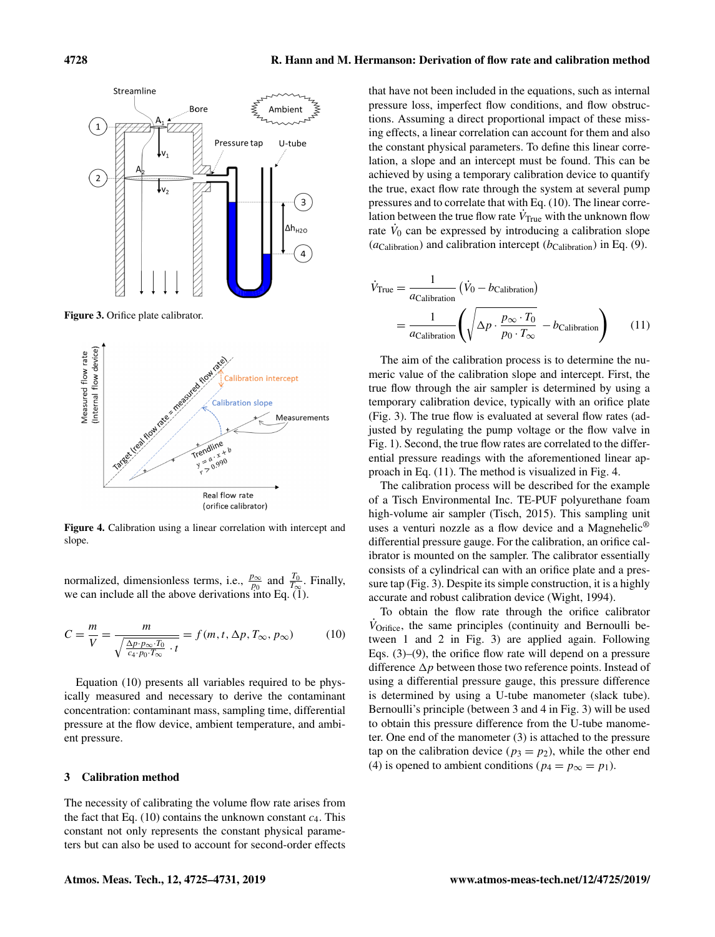

Figure 3. Orifice plate calibrator.



Figure 4. Calibration using a linear correlation with intercept and slope.

normalized, dimensionless terms, i.e.,  $\frac{p_{\infty}}{p_0}$  and  $\frac{T_0}{T_{\infty}}$ . Finally, we can include all the above derivations into Eq. (1).

$$
C = \frac{m}{V} = \frac{m}{\sqrt{\frac{\Delta p \cdot p_{\infty} \cdot T_0}{c_4 \cdot p_0 \cdot T_{\infty}} \cdot t}} = f(m, t, \Delta p, T_{\infty}, p_{\infty})
$$
(10)

Equation (10) presents all variables required to be physically measured and necessary to derive the contaminant concentration: contaminant mass, sampling time, differential pressure at the flow device, ambient temperature, and ambient pressure.

#### 3 Calibration method

The necessity of calibrating the volume flow rate arises from the fact that Eq. (10) contains the unknown constant  $c_4$ . This constant not only represents the constant physical parameters but can also be used to account for second-order effects that have not been included in the equations, such as internal pressure loss, imperfect flow conditions, and flow obstructions. Assuming a direct proportional impact of these missing effects, a linear correlation can account for them and also the constant physical parameters. To define this linear correlation, a slope and an intercept must be found. This can be achieved by using a temporary calibration device to quantify the true, exact flow rate through the system at several pump pressures and to correlate that with Eq. (10). The linear correlation between the true flow rate  $\dot{V}_{\text{True}}$  with the unknown flow rate  $\dot{V}_0$  can be expressed by introducing a calibration slope ( $a_{\text{Calibration}}$ ) and calibration intercept ( $b_{\text{Calibration}}$ ) in Eq. (9).

$$
\dot{V}_{\text{True}} = \frac{1}{a_{\text{Calibration}}} \left( \dot{V}_0 - b_{\text{Calibration}} \right)
$$
\n
$$
= \frac{1}{a_{\text{Calibration}}} \left( \sqrt{\Delta p \cdot \frac{p_{\infty} \cdot T_0}{p_0 \cdot T_{\infty}}} - b_{\text{Calibration}} \right) \tag{11}
$$

The aim of the calibration process is to determine the numeric value of the calibration slope and intercept. First, the true flow through the air sampler is determined by using a temporary calibration device, typically with an orifice plate (Fig. 3). The true flow is evaluated at several flow rates (adjusted by regulating the pump voltage or the flow valve in Fig. 1). Second, the true flow rates are correlated to the differential pressure readings with the aforementioned linear approach in Eq. (11). The method is visualized in Fig. 4.

The calibration process will be described for the example of a Tisch Environmental Inc. TE-PUF polyurethane foam high-volume air sampler (Tisch, 2015). This sampling unit uses a venturi nozzle as a flow device and a Magnehelic<sup>®</sup> differential pressure gauge. For the calibration, an orifice calibrator is mounted on the sampler. The calibrator essentially consists of a cylindrical can with an orifice plate and a pressure tap (Fig. 3). Despite its simple construction, it is a highly accurate and robust calibration device (Wight, 1994).

To obtain the flow rate through the orifice calibrator  $\dot{V}_{\text{Orifice}}$ , the same principles (continuity and Bernoulli between 1 and 2 in Fig. 3) are applied again. Following Eqs. (3)–(9), the orifice flow rate will depend on a pressure difference  $\Delta p$  between those two reference points. Instead of using a differential pressure gauge, this pressure difference is determined by using a U-tube manometer (slack tube). Bernoulli's principle (between 3 and 4 in Fig. 3) will be used to obtain this pressure difference from the U-tube manometer. One end of the manometer (3) is attached to the pressure tap on the calibration device ( $p_3 = p_2$ ), while the other end (4) is opened to ambient conditions ( $p_4 = p_\infty = p_1$ ).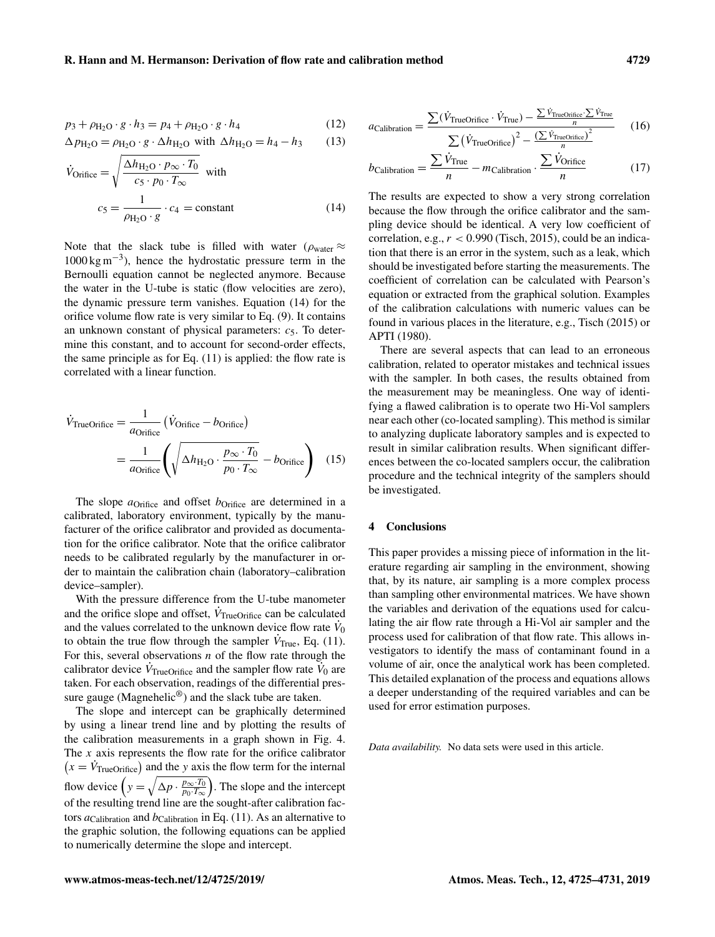$$
p_3 + \rho_{\text{H}_2\text{O}} \cdot g \cdot h_3 = p_4 + \rho_{\text{H}_2\text{O}} \cdot g \cdot h_4 \tag{12}
$$

$$
\Delta p_{\rm H_2O} = \rho_{\rm H_2O} \cdot g \cdot \Delta h_{\rm H_2O} \text{ with } \Delta h_{\rm H_2O} = h_4 - h_3 \qquad (13)
$$

$$
\dot{V}_{\text{Orifice}} = \sqrt{\frac{\Delta h_{\text{H}_2\text{O}} \cdot p_{\infty} \cdot T_0}{c_5 \cdot p_0 \cdot T_{\infty}}} \text{ with}
$$
\n
$$
c_5 = \frac{1}{\rho_{\text{H}_2\text{O}} \cdot g} \cdot c_4 = \text{constant}
$$
\n(14)

Note that the slack tube is filled with water ( $\rho_{\text{water}} \approx$ 1000 kg m−<sup>3</sup> ), hence the hydrostatic pressure term in the Bernoulli equation cannot be neglected anymore. Because the water in the U-tube is static (flow velocities are zero), the dynamic pressure term vanishes. Equation (14) for the orifice volume flow rate is very similar to Eq. (9). It contains an unknown constant of physical parameters:  $c_5$ . To determine this constant, and to account for second-order effects, the same principle as for Eq. (11) is applied: the flow rate is correlated with a linear function.

$$
\dot{V}_{\text{TrueOrifice}} = \frac{1}{a_{\text{Orifice}}} \left( \dot{V}_{\text{Orifice}} - b_{\text{Orifice}} \right)
$$
\n
$$
= \frac{1}{a_{\text{Orifice}}} \left( \sqrt{\Delta h_{\text{H}_2\text{O}} \cdot \frac{p_{\infty} \cdot T_0}{p_0 \cdot T_{\infty}}} - b_{\text{Orifice}} \right) \tag{15}
$$

The slope  $a$ <sub>Orifice</sub> and offset  $b$ <sub>Orifice</sub> are determined in a calibrated, laboratory environment, typically by the manufacturer of the orifice calibrator and provided as documentation for the orifice calibrator. Note that the orifice calibrator needs to be calibrated regularly by the manufacturer in order to maintain the calibration chain (laboratory–calibration device–sampler).

With the pressure difference from the U-tube manometer and the orifice slope and offset,  $\dot{V}_{\text{TrueOrifice}}$  can be calculated and the values correlated to the unknown device flow rate  $\dot{V}_0$ to obtain the true flow through the sampler  $\dot{V}_{\text{True}}$ , Eq. (11). For this, several observations  $n$  of the flow rate through the calibrator device  $\dot{V}_{\text{TrueOrifice}}$  and the sampler flow rate  $\dot{V}_0$  are taken. For each observation, readings of the differential pressure gauge (Magnehelic<sup>®</sup>) and the slack tube are taken.

The slope and intercept can be graphically determined by using a linear trend line and by plotting the results of the calibration measurements in a graph shown in Fig. 4. The  $x$  axis represents the flow rate for the orifice calibrator  $(x = \dot{V}_{\text{TrueOrifice}})$  and the y axis the flow term for the internal flow device  $\left(y = \sqrt{\Delta p \cdot \frac{p_{\infty} \cdot T_0}{p_0 \cdot T_{\infty}}} \right)$  $\frac{p_{\infty} \cdot T_0}{p_0 \cdot T_{\infty}}$ . The slope and the intercept of the resulting trend line are the sought-after calibration factors  $a_{\text{Calibration}}$  and  $b_{\text{Calibration}}$  in Eq. (11). As an alternative to the graphic solution, the following equations can be applied to numerically determine the slope and intercept.

$$
a_{\text{Calibration}} = \frac{\sum (\dot{V}_{\text{TrueOrifice}} \cdot \dot{V}_{\text{True}}) - \frac{\sum \dot{V}_{\text{TrueOrifice}} \cdot \sum \dot{V}_{\text{True}}}{n}}{\sum (\dot{V}_{\text{TrueOrifice}})^2 - \frac{(\sum \dot{V}_{\text{TrueOrifice}})^2}{n}} \qquad (16)
$$

$$
b_{\text{Calibration}} = \frac{\sum \dot{V}_{\text{True}}}{n} - m_{\text{Calibration}} \cdot \frac{\sum \dot{V}_{\text{Orifice}}}{n}
$$
 (17)

The results are expected to show a very strong correlation because the flow through the orifice calibrator and the sampling device should be identical. A very low coefficient of correlation, e.g.,  $r < 0.990$  (Tisch, 2015), could be an indication that there is an error in the system, such as a leak, which should be investigated before starting the measurements. The coefficient of correlation can be calculated with Pearson's equation or extracted from the graphical solution. Examples of the calibration calculations with numeric values can be found in various places in the literature, e.g., Tisch (2015) or APTI (1980).

There are several aspects that can lead to an erroneous calibration, related to operator mistakes and technical issues with the sampler. In both cases, the results obtained from the measurement may be meaningless. One way of identifying a flawed calibration is to operate two Hi-Vol samplers near each other (co-located sampling). This method is similar to analyzing duplicate laboratory samples and is expected to result in similar calibration results. When significant differences between the co-located samplers occur, the calibration procedure and the technical integrity of the samplers should be investigated.

#### 4 Conclusions

This paper provides a missing piece of information in the literature regarding air sampling in the environment, showing that, by its nature, air sampling is a more complex process than sampling other environmental matrices. We have shown the variables and derivation of the equations used for calculating the air flow rate through a Hi-Vol air sampler and the process used for calibration of that flow rate. This allows investigators to identify the mass of contaminant found in a volume of air, once the analytical work has been completed. This detailed explanation of the process and equations allows a deeper understanding of the required variables and can be used for error estimation purposes.

*Data availability.* No data sets were used in this article.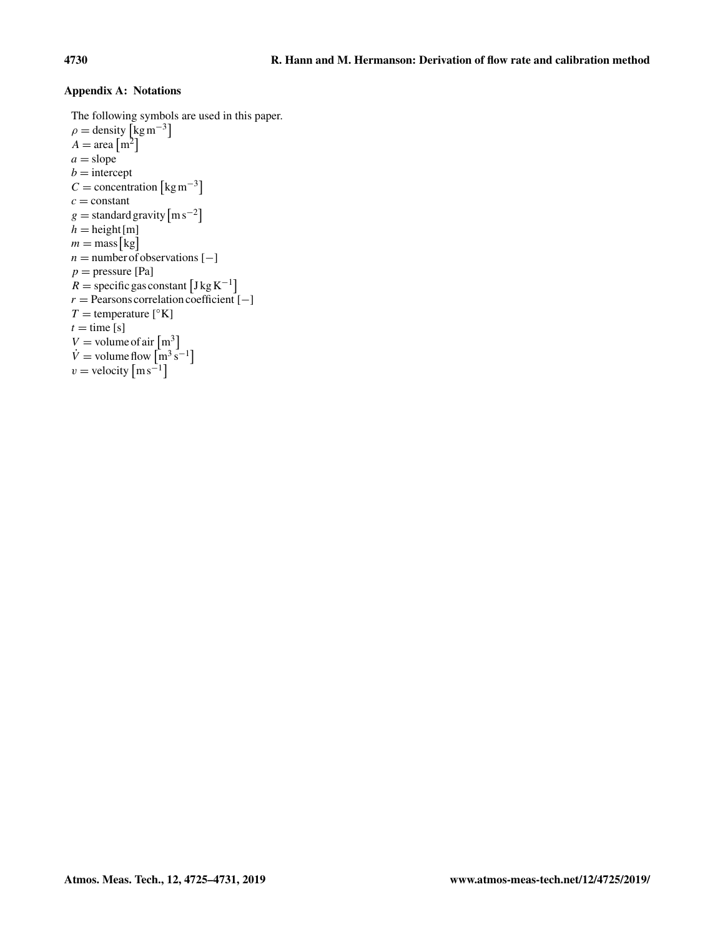## Appendix A: Notations

The following symbols are used in this paper.  $\rho =$  density  $\left[\text{kg m}^{-3}\right]$  $A = \text{area} \left[ \text{m}^2 \right]$  $a = slope$  $b =$ intercept  $C =$  concentration  $\lceil \text{kg m}^{-3} \rceil$  $c = constant$ g = standard gravity  $\lceil m s^{-2} \rceil$  $h =$ height[m]  $m = \text{mass} [kg]$  $n =$  number of observations  $[-]$  $p =$  pressure [Pa]  $R = \text{specific gas constant} \left[ \text{J kg K}^{-1} \right]$  $r =$  Pearsons correlation coefficient  $[-]$  $T =$  temperature [ $\textdegree$ K]  $t =$  time [s]  $V =$  volume of air  $\left[ m^3 \right]$  $\dot{V}$  = volume flow  $\left[\text{m}^3 \text{ s}^{-1}\right]$  $v =$  velocity  $\lceil \text{ms}^{-1} \rceil$